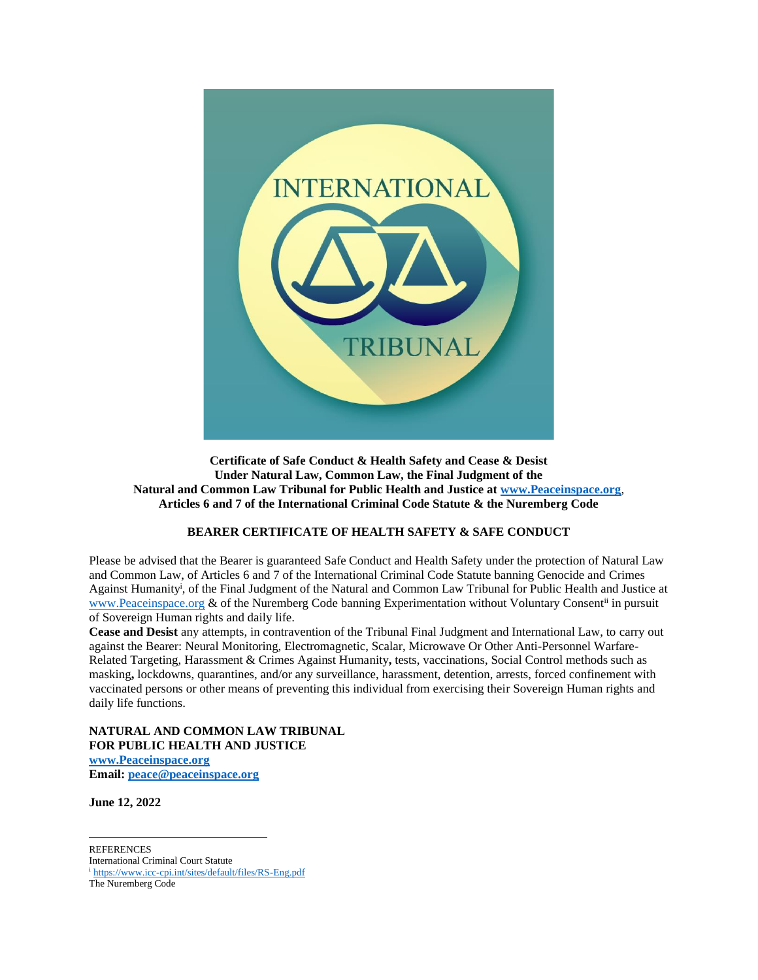

**Certificate of Safe Conduct & Health Safety and Cease & Desist Under Natural Law, Common Law, the Final Judgment of the Natural and Common Law Tribunal for Public Health and Justice at [www.Peaceinspace.org](http://www.peaceinspace.org/)**, **Articles 6 and 7 of the International Criminal Code Statute & the Nuremberg Code**

## **BEARER CERTIFICATE OF HEALTH SAFETY & SAFE CONDUCT**

Please be advised that the Bearer is guaranteed Safe Conduct and Health Safety under the protection of Natural Law and Common Law, of Articles 6 and 7 of the International Criminal Code Statute banning Genocide and Crimes Against Humanity<sup>i</sup> , of the Final Judgment of the Natural and Common Law Tribunal for Public Health and Justice at [www.Peaceinspace.org](http://www.peaceinspace.org/) & of the Nuremberg Code banning Experimentation without Voluntary Consent<sup>ii</sup> in pursuit of Sovereign Human rights and daily life.

**Cease and Desist** any attempts, in contravention of the Tribunal Final Judgment and International Law, to carry out against the Bearer: Neural Monitoring, Electromagnetic, Scalar, Microwave Or Other Anti-Personnel Warfare-Related Targeting, Harassment & Crimes Against Humanity**,** tests, vaccinations, Social Control methods such as masking**,** lockdowns, quarantines, and/or any surveillance, harassment, detention, arrests, forced confinement with vaccinated persons or other means of preventing this individual from exercising their Sovereign Human rights and daily life functions.

**NATURAL AND COMMON LAW TRIBUNAL FOR PUBLIC HEALTH AND JUSTICE [www.Peaceinspace.org](http://www.peaceinspace.org/) Email[: peace@peaceinspace.org](mailto:peace@peaceinspace.org)**

**June 12, 2022**

**REFERENCES** 

International Criminal Court Statute <sup>i</sup> <https://www.icc-cpi.int/sites/default/files/RS-Eng.pdf>

The Nuremberg Code